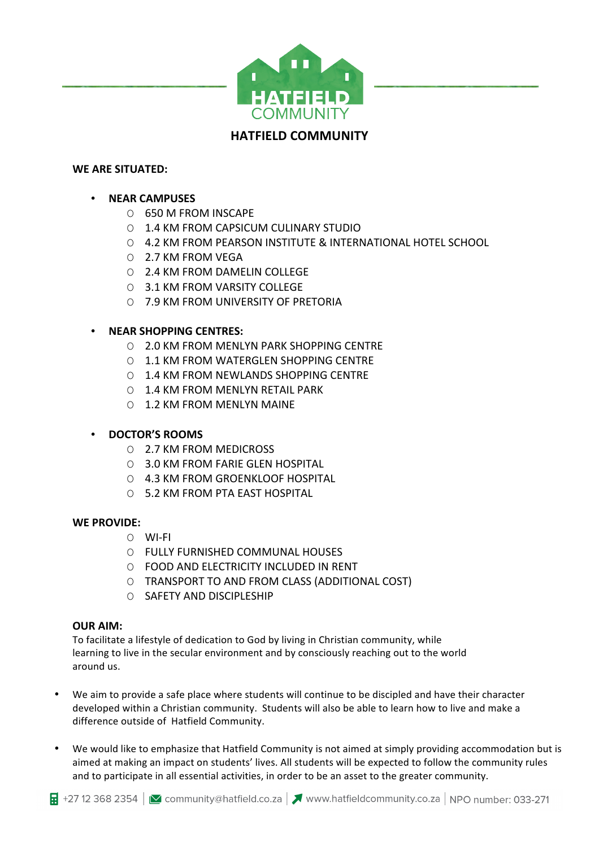

## **HATFIELD COMMUNITY**

## WE ARE SITUATED:

## • **NEAR CAMPUSES**

- O 650 M FROM INSCAPE
- O 1.4 KM FROM CAPSICUM CULINARY STUDIO
- O 4.2 KM FROM PEARSON INSTITUTE & INTERNATIONAL HOTEL SCHOOL
- O 2.7 KM FROM VEGA
- O 2.4 KM FROM DAMELIN COLLEGE
- O 3.1 KM FROM VARSITY COLLEGE
- O 7.9 KM FROM UNIVERSITY OF PRETORIA

## • **NEAR SHOPPING CENTRES:**

- O 2.0 KM FROM MENLYN PARK SHOPPING CENTRE
- O 1.1 KM FROM WATERGLEN SHOPPING CENTRE
- O 1.4 KM FROM NEWLANDS SHOPPING CENTRE
- O 1.4 KM FROM MENLYN RETAIL PARK
- O 1.2 KM FROM MENI YN MAINE

## • **DOCTOR'S ROOMS**

- O 2.7 KM FROM MEDICROSS
- O 3.0 KM FROM FARIE GLEN HOSPITAL
- O 4.3 KM FROM GROENKLOOF HOSPITAL
- O 5.2 KM FROM PTA EAST HOSPITAL

## **WE PROVIDE:**

- O WI-FI
- O FULLY FURNISHED COMMUNAL HOUSES
- O FOOD AND ELECTRICITY INCLUDED IN RENT
- O TRANSPORT TO AND FROM CLASS (ADDITIONAL COST)
- O SAFETY AND DISCIPLESHIP

## **OUR AIM:**

To facilitate a lifestyle of dedication to God by living in Christian community, while learning to live in the secular environment and by consciously reaching out to the world around us.

- We aim to provide a safe place where students will continue to be discipled and have their character developed within a Christian community. Students will also be able to learn how to live and make a difference outside of Hatfield Community.
- We would like to emphasize that Hatfield Community is not aimed at simply providing accommodation but is aimed at making an impact on students' lives. All students will be expected to follow the community rules and to participate in all essential activities, in order to be an asset to the greater community.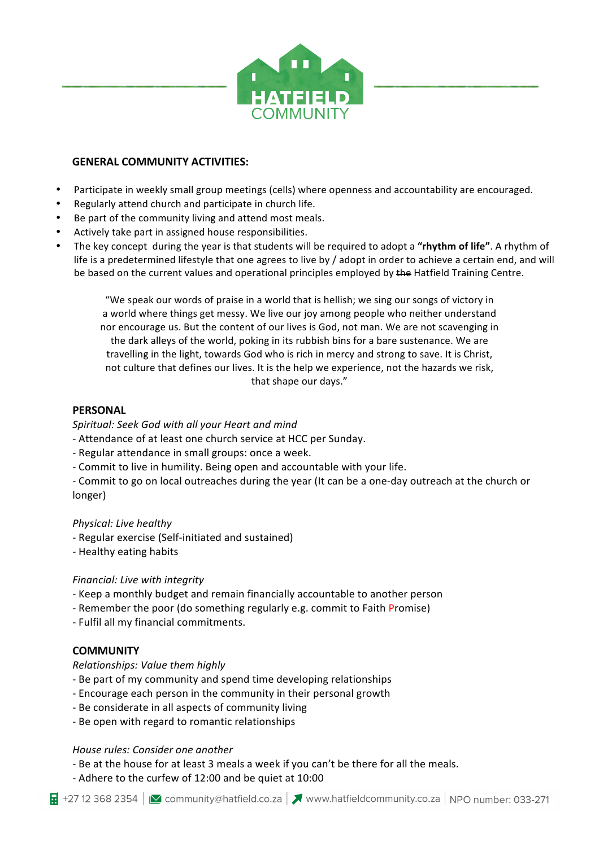

#### **GENERAL COMMUNITY ACTIVITIES:**

- Participate in weekly small group meetings (cells) where openness and accountability are encouraged.
- Regularly attend church and participate in church life.
- Be part of the community living and attend most meals.
- Actively take part in assigned house responsibilities.
- The key concept during the year is that students will be required to adopt a "rhythm of life". A rhythm of life is a predetermined lifestyle that one agrees to live by / adopt in order to achieve a certain end, and will be based on the current values and operational principles employed by the Hatfield Training Centre.

"We speak our words of praise in a world that is hellish; we sing our songs of victory in a world where things get messy. We live our joy among people who neither understand nor encourage us. But the content of our lives is God, not man. We are not scavenging in the dark alleys of the world, poking in its rubbish bins for a bare sustenance. We are travelling in the light, towards God who is rich in mercy and strong to save. It is Christ, not culture that defines our lives. It is the help we experience, not the hazards we risk, that shape our days."

#### **PFRSONAL**

#### *Spiritual: Seek God with all your Heart and mind*

- Attendance of at least one church service at HCC per Sunday.
- Regular attendance in small groups: once a week.
- Commit to live in humility. Being open and accountable with your life.

- Commit to go on local outreaches during the year (It can be a one-day outreach at the church or longer)

#### **Physical: Live healthy**

- Regular exercise (Self-initiated and sustained)
- Healthy eating habits

#### *Financial: Live with integrity*

- Keep a monthly budget and remain financially accountable to another person
- Remember the poor (do something regularly e.g. commit to Faith Promise)
- Fulfil all my financial commitments.

## **COMMUNITY**

#### *Relationships: Value them highly*

- Be part of my community and spend time developing relationships
- Encourage each person in the community in their personal growth
- Be considerate in all aspects of community living
- Be open with regard to romantic relationships

#### *House rules: Consider one another*

- Be at the house for at least 3 meals a week if you can't be there for all the meals.
- Adhere to the curfew of 12:00 and be quiet at 10:00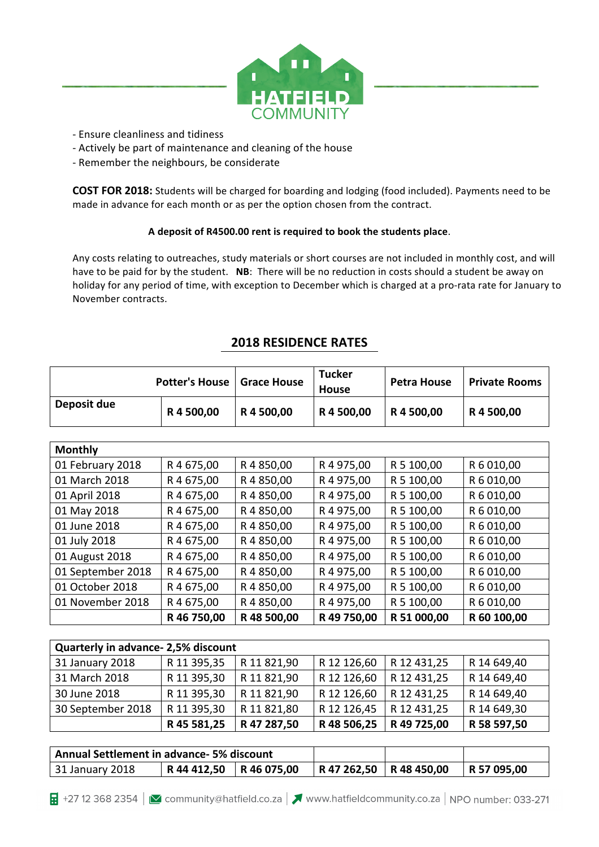

- Ensure cleanliness and tidiness
- Actively be part of maintenance and cleaning of the house
- Remember the neighbours, be considerate

**COST FOR 2018:** Students will be charged for boarding and lodging (food included). Payments need to be made in advance for each month or as per the option chosen from the contract.

#### A deposit of R4500.00 rent is required to book the students place.

Any costs relating to outreaches, study materials or short courses are not included in monthly cost, and will have to be paid for by the student. **NB**: There will be no reduction in costs should a student be away on holiday for any period of time, with exception to December which is charged at a pro-rata rate for January to November contracts.

| <b>Potter's House</b><br>Deposit due<br>R 4 500,00 |            | <b>Grace House</b><br><b>House</b><br>R 4 500,00<br>R 4 500,00 |               | <b>Private Rooms</b><br>R 4 500,00 |  |
|----------------------------------------------------|------------|----------------------------------------------------------------|---------------|------------------------------------|--|
|                                                    |            |                                                                |               |                                    |  |
|                                                    |            |                                                                |               |                                    |  |
| R 4 675,00                                         | R 4 850,00 | R 4 975,00                                                     | R 5 100,00    | R 6 010,00                         |  |
| R 4 675,00                                         | R 4 850,00 | R 4 975,00                                                     | R 5 100,00    | R 6 010,00                         |  |
| R 4 675,00                                         | R 4 850,00 | R 4 975,00                                                     | R 5 100,00    | R 6 010,00                         |  |
| R 4 675,00                                         | R 4 850,00 | R 4 975,00                                                     | R 5 100,00    | R 6 010,00                         |  |
| R 4 675,00                                         | R 4 850,00 | R 4 975,00                                                     | R 5 100,00    | R 6 010,00                         |  |
| R 4 675,00                                         | R 4 850,00 | R 4 975,00                                                     | R 5 100,00    | R 6 010,00                         |  |
| R 4 675,00                                         | R 4 850,00 | R 4 975,00                                                     | R 5 100,00    | R 6 010,00                         |  |
| R 4 675,00                                         | R 4 850,00 | R 4 975,00                                                     | R 5 100,00    | R 6 010,00                         |  |
| R 4 675,00                                         | R 4 850,00 | R 4 975,00                                                     | R 5 100,00    | R 6 010,00                         |  |
| R 4 675,00<br>01 November 2018                     |            | R 4 975,00                                                     | R 5 100,00    | R 6 010,00                         |  |
| R 46 750,00                                        | R48500,00  | R 49 750,00                                                    | R 51 000,00   | R 60 100,00                        |  |
|                                                    |            |                                                                |               |                                    |  |
|                                                    |            | R 4 850,00<br>$\sim$ $\sim$ $\sim$ $\sim$ $\sim$ $\sim$ $\sim$ | <b>Tucker</b> | <b>Petra House</b><br>R 4 500,00   |  |

## **2018 RESIDENCE RATES**

| Quarterly in advance- 2,5% discount |             |             |             |             |             |  |  |
|-------------------------------------|-------------|-------------|-------------|-------------|-------------|--|--|
| 31 January 2018                     | R 11 395,35 | R 11 821,90 | R 12 126,60 | R 12 431,25 | R 14 649,40 |  |  |
| 31 March 2018                       | R 11 395,30 | R 11 821,90 | R 12 126,60 | R 12 431,25 | R 14 649,40 |  |  |
| 30 June 2018                        | R 11 395,30 | R 11 821,90 | R 12 126,60 | R 12 431,25 | R 14 649,40 |  |  |
| 30 September 2018                   | R 11 395,30 | R 11 821,80 | R 12 126,45 | R 12 431,25 | R 14 649,30 |  |  |
|                                     | R 45 581,25 | R 47 287,50 | R 48 506,25 | R 49 725,00 | R 58 597,50 |  |  |

| Annual Settlement in advance- 5% discount |                           |                           |                 |
|-------------------------------------------|---------------------------|---------------------------|-----------------|
| 31 January 2018                           | R 44 412,50   R 46 075,00 | R 47 262,50   R 48 450,00 | $ $ R 57 095,00 |